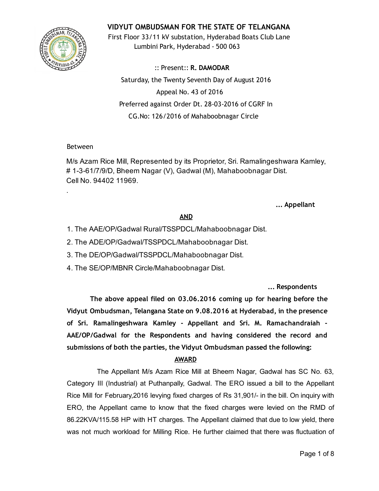# VIDYUT OMBUDSMAN FOR THE STATE OF TELANGANA



First Floor 33/11 kV substation, Hyderabad Boats Club Lane Lumbini Park, Hyderabad ‐ 500 063

:: Present:: R. DAMODAR Saturday, the Twenty Seventh Day of August 2016 Appeal No. 43 of 2016 Preferred against Order Dt. 28‐03‐2016 of CGRF In CG.No: 126/2016 of Mahaboobnagar Circle

### Between

.

M/s Azam Rice Mill, Represented by its Proprietor, Sri. Ramalingeshwara Kamley, # 1-3-61/7/9/D, Bheem Nagar (V), Gadwal (M), Mahaboobnagar Dist. Cell No. 94402 11969.

### ... Appellant

### AND

1. The AAE/OP/Gadwal Rural/TSSPDCL/Mahaboobnagar Dist.

2. The ADE/OP/Gadwal/TSSPDCL/Mahaboobnagar Dist.

3. The DE/OP/Gadwal/TSSPDCL/Mahaboobnagar Dist.

4. The SE/OP/MBNR Circle/Mahaboobnagar Dist.

... Respondents

The above appeal filed on 03.06.2016 coming up for hearing before the Vidyut Ombudsman, Telangana State on 9.08.2016 at Hyderabad, in the presence of Sri. Ramalingeshwara Kamley ‐ Appellant and Sri. M. Ramachandraiah ‐ AAE/OP/Gadwal for the Respondents and having considered the record and submissions of both the parties, the Vidyut Ombudsman passed the following:

### AWARD

The Appellant M/s Azam Rice Mill at Bheem Nagar, Gadwal has SC No. 63, Category III (Industrial) at Puthanpally, Gadwal. The ERO issued a bill to the Appellant Rice Mill for February,2016 levying fixed charges of Rs 31,901/ in the bill. On inquiry with ERO, the Appellant came to know that the fixed charges were levied on the RMD of 86.22KVA/115.58 HP with HT charges. The Appellant claimed that due to low yield, there was not much workload for Milling Rice. He further claimed that there was fluctuation of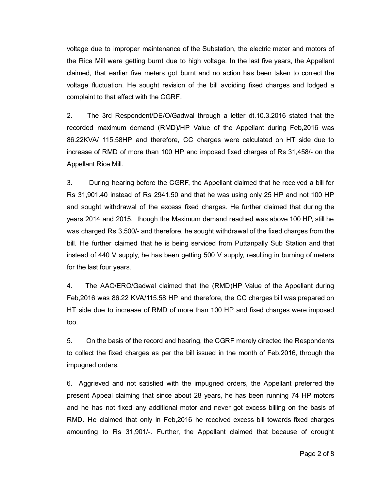voltage due to improper maintenance of the Substation, the electric meter and motors of the Rice Mill were getting burnt due to high voltage. In the last five years, the Appellant claimed, that earlier five meters got burnt and no action has been taken to correct the voltage fluctuation. He sought revision of the bill avoiding fixed charges and lodged a complaint to that effect with the CGRF..

2. The 3rd Respondent/DE/O/Gadwal through a letter dt.10.3.2016 stated that the recorded maximum demand (RMD)/HP Value of the Appellant during Feb,2016 was 86.22KVA/ 115.58HP and therefore, CC charges were calculated on HT side due to increase of RMD of more than 100 HP and imposed fixed charges of Rs 31,458/ on the Appellant Rice Mill.

3. During hearing before the CGRF, the Appellant claimed that he received a bill for Rs 31,901.40 instead of Rs 2941.50 and that he was using only 25 HP and not 100 HP and sought withdrawal of the excess fixed charges. He further claimed that during the years 2014 and 2015, though the Maximum demand reached was above 100 HP, still he was charged Rs 3,500/- and therefore, he sought withdrawal of the fixed charges from the bill. He further claimed that he is being serviced from Puttanpally Sub Station and that instead of 440 V supply, he has been getting 500 V supply, resulting in burning of meters for the last four years.

4. The AAO/ERO/Gadwal claimed that the (RMD)HP Value of the Appellant during Feb,2016 was 86.22 KVA/115.58 HP and therefore, the CC charges bill was prepared on HT side due to increase of RMD of more than 100 HP and fixed charges were imposed too.

5. On the basis of the record and hearing, the CGRF merely directed the Respondents to collect the fixed charges as per the bill issued in the month of Feb,2016, through the impugned orders.

6. Aggrieved and not satisfied with the impugned orders, the Appellant preferred the present Appeal claiming that since about 28 years, he has been running 74 HP motors and he has not fixed any additional motor and never got excess billing on the basis of RMD. He claimed that only in Feb,2016 he received excess bill towards fixed charges amounting to Rs 31,901/. Further, the Appellant claimed that because of drought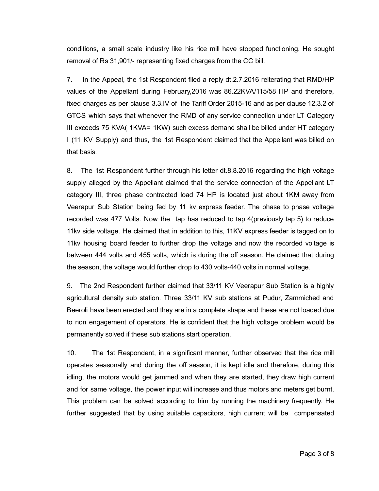conditions, a small scale industry like his rice mill have stopped functioning. He sought removal of Rs 31,901/- representing fixed charges from the CC bill.

7. In the Appeal, the 1st Respondent filed a reply dt.2.7.2016 reiterating that RMD/HP values of the Appellant during February,2016 was 86.22KVA/115/58 HP and therefore, fixed charges as per clause  $3.3.1V$  of the Tariff Order 2015-16 and as per clause 12.3.2 of GTCS which says that whenever the RMD of any service connection under LT Category III exceeds 75 KVA( 1KVA= 1KW) such excess demand shall be billed under HT category I (11 KV Supply) and thus, the 1st Respondent claimed that the Appellant was billed on that basis.

8. The 1st Respondent further through his letter dt.8.8.2016 regarding the high voltage supply alleged by the Appellant claimed that the service connection of the Appellant LT category III, three phase contracted load 74 HP is located just about 1KM away from Veerapur Sub Station being fed by 11 kv express feeder. The phase to phase voltage recorded was 477 Volts. Now the tap has reduced to tap 4(previously tap 5) to reduce 11kv side voltage. He claimed that in addition to this, 11KV express feeder is tagged on to 11kv housing board feeder to further drop the voltage and now the recorded voltage is between 444 volts and 455 volts, which is during the off season. He claimed that during the season, the voltage would further drop to 430 volts-440 volts in normal voltage.

9. The 2nd Respondent further claimed that 33/11 KV Veerapur Sub Station is a highly agricultural density sub station. Three 33/11 KV sub stations at Pudur, Zammiched and Beeroli have been erected and they are in a complete shape and these are not loaded due to non engagement of operators. He is confident that the high voltage problem would be permanently solved if these sub stations start operation.

10. The 1st Respondent, in a significant manner, further observed that the rice mill operates seasonally and during the off season, it is kept idle and therefore, during this idling, the motors would get jammed and when they are started, they draw high current and for same voltage, the power input will increase and thus motors and meters get burnt. This problem can be solved according to him by running the machinery frequently. He further suggested that by using suitable capacitors, high current will be compensated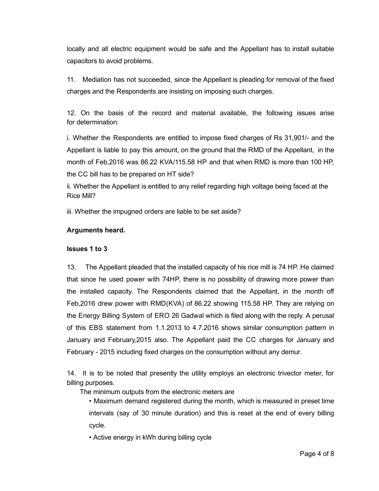locally and all electric equipment would be safe and the Appellant has to install suitable capacitors to avoid problems.

11. Mediation has not succeeded, since the Appellant is pleading for removal of the fixed charges and the Respondents are insisting on imposing such charges.

12. On the basis of the record and material available, the following issues arise for determination:

i. Whether the Respondents are entitled to impose fixed charges of Rs 31,901/ and the Appellant is liable to pay this amount, on the ground that the RMD of the Appellant, in the month of Feb,2016 was 86.22 KVA/115.58 HP and that when RMD is more than 100 HP, the CC bill has to be prepared on HT side?

ii. Whether the Appellant is entitled to any relief regarding high voltage being faced at the Rice Mill?

iii. Whether the impugned orders are liable to be set aside?

### Arguments heard.

#### Issues 1 to 3

13. The Appellant pleaded that the installed capacity of his rice mill is 74 HP. He claimed that since he used power with 74HP, there is no possibility of drawing more power than the installed capacity. The Respondents claimed that the Appellant, in the month off Feb,2016 drew power with RMD(KVA) of 86.22 showing 115.58 HP. They are relying on the Energy Billing System of ERO 26 Gadwal which is filed along with the reply. A perusal of this EBS statement from 1.1.2013 to 4.7.2016 shows similar consumption pattern in January and February,2015 also. The Appellant paid the CC charges for January and February - 2015 including fixed charges on the consumption without any demur.

14. It is to be noted that presently the utility employs an electronic trivector meter, for billing purposes.

The minimum outputs from the electronic meters are

• Maximum demand registered during the month, which is measured in preset time intervals (say of 30 minute duration) and this is reset at the end of every billing cycle.

• Active energy in kWh during billing cycle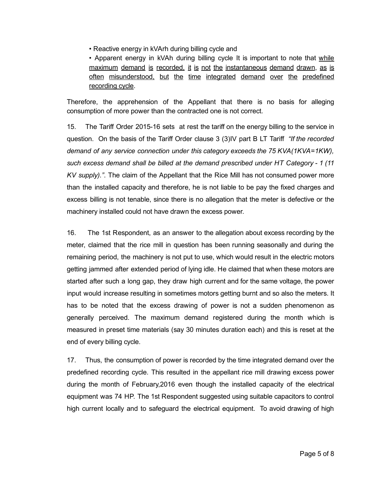• Reactive energy in kVArh during billing cycle and

• Apparent energy in kVAh during billing cycle It is important to note that while maximum demand is recorded, it is not the instantaneous demand drawn, as is often misunderstood, but the time integrated demand over the predefined recording cycle.

Therefore, the apprehension of the Appellant that there is no basis for alleging consumption of more power than the contracted one is not correct.

15. The Tariff Order 2015-16 sets at rest the tariff on the energy billing to the service in question. On the basis of the Tariff Order clause 3 (3)IV part B LT Tariff *"If the recorded demand of any service connection under this category exceeds the 75 KVA(1KVA=1KW), such excess demand shall be billed at the demand prescribed under HT Category 1 (11 KV supply)."*. The claim of the Appellant that the Rice Mill has not consumed power more than the installed capacity and therefore, he is not liable to be pay the fixed charges and excess billing is not tenable, since there is no allegation that the meter is defective or the machinery installed could not have drawn the excess power.

16. The 1st Respondent, as an answer to the allegation about excess recording by the meter, claimed that the rice mill in question has been running seasonally and during the remaining period, the machinery is not put to use, which would result in the electric motors getting jammed after extended period of lying idle. He claimed that when these motors are started after such a long gap, they draw high current and for the same voltage, the power input would increase resulting in sometimes motors getting burnt and so also the meters. It has to be noted that the excess drawing of power is not a sudden phenomenon as generally perceived. The maximum demand registered during the month which is measured in preset time materials (say 30 minutes duration each) and this is reset at the end of every billing cycle.

17. Thus, the consumption of power is recorded by the time integrated demand over the predefined recording cycle. This resulted in the appellant rice mill drawing excess power during the month of February,2016 even though the installed capacity of the electrical equipment was 74 HP. The 1st Respondent suggested using suitable capacitors to control high current locally and to safeguard the electrical equipment. To avoid drawing of high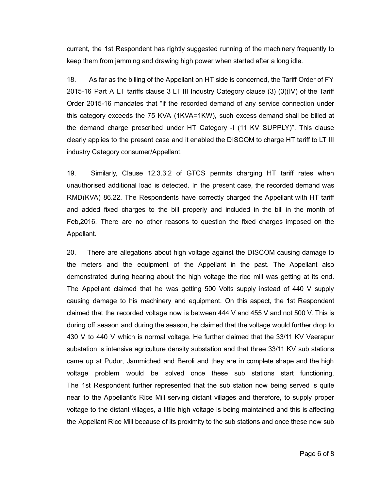current, the 1st Respondent has rightly suggested running of the machinery frequently to keep them from jamming and drawing high power when started after a long idle.

18. As far as the billing of the Appellant on HT side is concerned, the Tariff Order of FY 2015-16 Part A LT tariffs clause 3 LT III Industry Category clause  $(3)$   $(3)(IV)$  of the Tariff Order 2015-16 mandates that "if the recorded demand of any service connection under this category exceeds the 75 KVA (1KVA=1KW), such excess demand shall be billed at the demand charge prescribed under HT Category - (11 KV SUPPLY)". This clause clearly applies to the present case and it enabled the DISCOM to charge HT tariff to LT III industry Category consumer/Appellant.

19. Similarly, Clause 12.3.3.2 of GTCS permits charging HT tariff rates when unauthorised additional load is detected. In the present case, the recorded demand was RMD(KVA) 86.22. The Respondents have correctly charged the Appellant with HT tariff and added fixed charges to the bill properly and included in the bill in the month of Feb,2016. There are no other reasons to question the fixed charges imposed on the Appellant.

20. There are allegations about high voltage against the DISCOM causing damage to the meters and the equipment of the Appellant in the past. The Appellant also demonstrated during hearing about the high voltage the rice mill was getting at its end. The Appellant claimed that he was getting 500 Volts supply instead of 440 V supply causing damage to his machinery and equipment. On this aspect, the 1st Respondent claimed that the recorded voltage now is between 444 V and 455 V and not 500 V. This is during off season and during the season, he claimed that the voltage would further drop to 430 V to 440 V which is normal voltage. He further claimed that the 33/11 KV Veerapur substation is intensive agriculture density substation and that three 33/11 KV sub stations came up at Pudur, Jammiched and Beroli and they are in complete shape and the high voltage problem would be solved once these sub stations start functioning. The 1st Respondent further represented that the sub station now being served is quite near to the Appellant's Rice Mill serving distant villages and therefore, to supply proper voltage to the distant villages, a little high voltage is being maintained and this is affecting the Appellant Rice Mill because of its proximity to the sub stations and once these new sub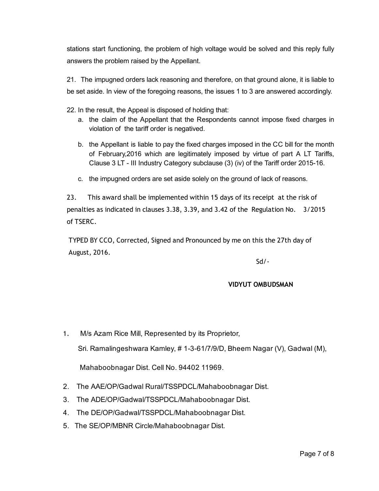stations start functioning, the problem of high voltage would be solved and this reply fully answers the problem raised by the Appellant.

21. The impugned orders lack reasoning and therefore, on that ground alone, it is liable to be set aside. In view of the foregoing reasons, the issues 1 to 3 are answered accordingly.

22. In the result, the Appeal is disposed of holding that:

- a. the claim of the Appellant that the Respondents cannot impose fixed charges in violation of the tariff order is negatived.
- b. the Appellant is liable to pay the fixed charges imposed in the CC bill for the month of February,2016 which are legitimately imposed by virtue of part A LT Tariffs, Clause 3 LT - III Industry Category subclause (3) (iv) of the Tariff order 2015-16.
- c. the impugned orders are set aside solely on the ground of lack of reasons.

23. This award shall be implemented within 15 days of its receipt at the risk of penalties as indicated in clauses 3.38, 3.39, and 3.42 of the Regulation No. 3/2015 of TSERC.

TYPED BY CCO, Corrected, Signed and Pronounced by me on this the 27th day of August, 2016.

Sd/‐

## VIDYUT OMBUDSMAN

1. M/s Azam Rice Mill, Represented by its Proprietor,

Sri. Ramalingeshwara Kamley, # 1-3-61/7/9/D, Bheem Nagar (V), Gadwal (M),

Mahaboobnagar Dist. Cell No. 94402 11969.

- 2. The AAE/OP/Gadwal Rural/TSSPDCL/Mahaboobnagar Dist.
- 3. The ADE/OP/Gadwal/TSSPDCL/Mahaboobnagar Dist.
- 4. The DE/OP/Gadwal/TSSPDCL/Mahaboobnagar Dist.
- 5. The SE/OP/MBNR Circle/Mahaboobnagar Dist.